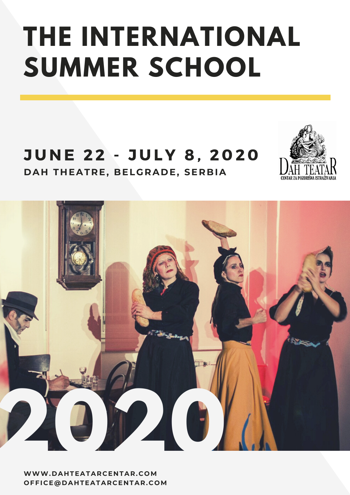## **THE INTERNATIONAL SUMMER SCHOOL**

### JUNE 22 - JULY 8, 2020 **D A H T H EATRE, BELGRA D E, SERBIA**





**WWW. D A H TEATARCE N TAR.COM OFFICE@D A H TEATARCE N TAR.COM**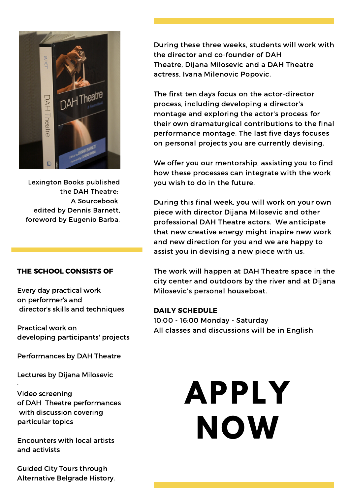

Lexington Books published the DAH Theatre: A Sourcebook edited by Dennis Barnett, foreword by Eugenio Barba.

#### THE SCHOOL CONSISTS OF

Every day practical work on performer's and director's skills and techniques

Practical work on developing participants' projects

Performances by DAH Theatre

Lectures by Dijana Milosevic

·

Video screening of DAH Theatre performances with discussion covering particular topics

Encounters with local artists and activists

Guided City Tours through Alternative Belgrade History. During these three weeks, students will work with the director and co-founder of DAH Theatre, Dijana Milosevic and a DAH Theatre actress, Ivana Milenovic Popovic.

The first ten days focus on the actor-director process, including developing a director's montage and exploring the actor's process for their own dramaturgical contributions to the final performance montage. The last five days focuses on personal projects you are currently devising.

We offer you our mentorship, assisting you to find how these processes can integrate with the work you wish to do in the future.

During this final week, you will work on your own piece with director Dijana Milosevic and other professional DAH Theatre actors. We anticipate that new creative energy might inspire new work and new direction for you and we are happy to assist you in devising a new piece with us.

The work will happen at DAH Theatre space in the city center and outdoors by the river and at Dijana Milosevic's personal houseboat.

#### DAILY SCHEDULE

10:00 - 16:00 Monday - Saturday All classes and discussions will be in English

# **APPLY NOW**